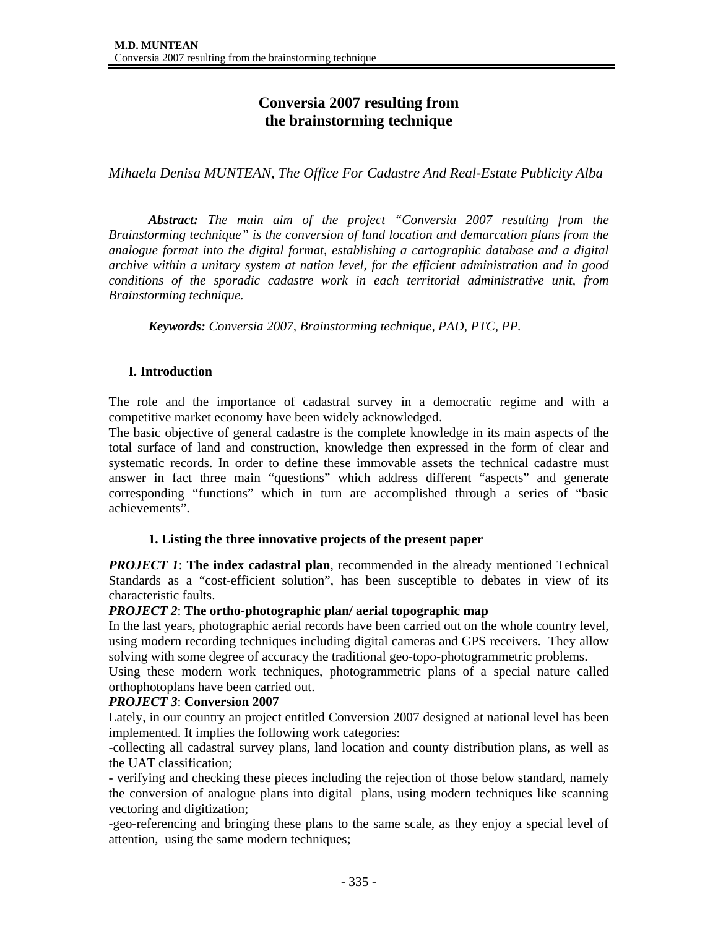# **Conversia 2007 resulting from the brainstorming technique**

*Mihaela Denisa MUNTEAN, The Office For Cadastre And Real-Estate Publicity Alba* 

*Abstract: The main aim of the project "Conversia 2007 resulting from the Brainstorming technique" is the conversion of land location and demarcation plans from the analogue format into the digital format, establishing a cartographic database and a digital archive within a unitary system at nation level, for the efficient administration and in good conditions of the sporadic cadastre work in each territorial administrative unit, from Brainstorming technique.* 

*Keywords: Conversia 2007, Brainstorming technique, PAD, PTC, PP.* 

### **I. Introduction**

The role and the importance of cadastral survey in a democratic regime and with a competitive market economy have been widely acknowledged.

The basic objective of general cadastre is the complete knowledge in its main aspects of the total surface of land and construction, knowledge then expressed in the form of clear and systematic records. In order to define these immovable assets the technical cadastre must answer in fact three main "questions" which address different "aspects" and generate corresponding "functions" which in turn are accomplished through a series of "basic achievements".

#### **1. Listing the three innovative projects of the present paper**

*PROJECT 1***: The index cadastral plan, recommended in the already mentioned Technical** Standards as a "cost-efficient solution", has been susceptible to debates in view of its characteristic faults.

#### *PROJECT 2*: **The ortho-photographic plan/ aerial topographic map**

In the last years, photographic aerial records have been carried out on the whole country level, using modern recording techniques including digital cameras and GPS receivers. They allow solving with some degree of accuracy the traditional geo-topo-photogrammetric problems.

Using these modern work techniques, photogrammetric plans of a special nature called orthophotoplans have been carried out.

#### *PROJECT 3*: **Conversion 2007**

Lately, in our country an project entitled Conversion 2007 designed at national level has been implemented. It implies the following work categories:

-collecting all cadastral survey plans, land location and county distribution plans, as well as the UAT classification;

- verifying and checking these pieces including the rejection of those below standard, namely the conversion of analogue plans into digital plans, using modern techniques like scanning vectoring and digitization;

-geo-referencing and bringing these plans to the same scale, as they enjoy a special level of attention, using the same modern techniques;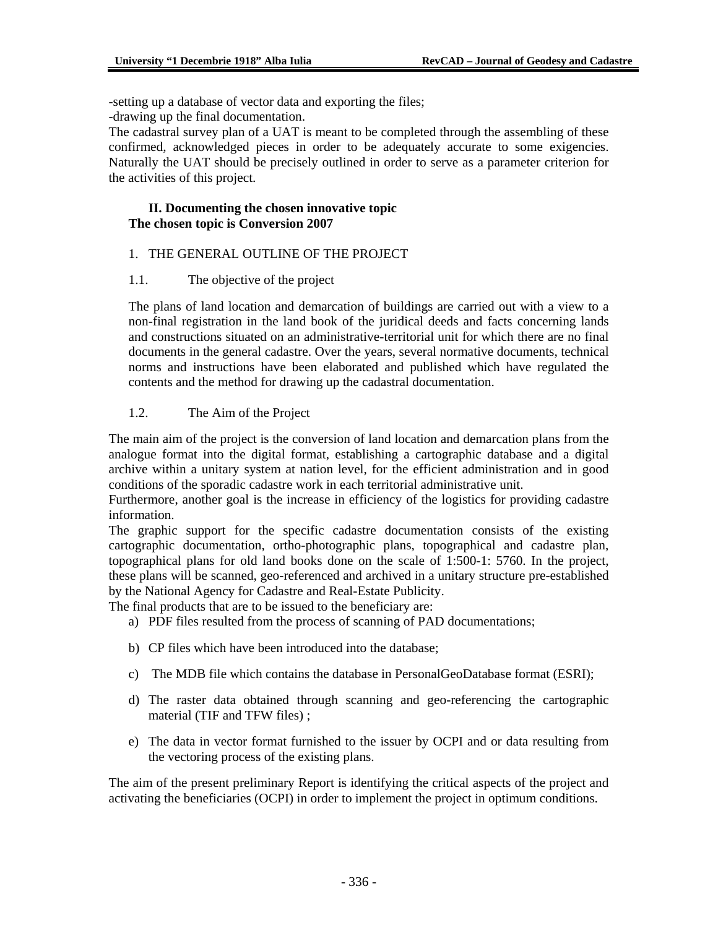-setting up a database of vector data and exporting the files;

-drawing up the final documentation.

The cadastral survey plan of a UAT is meant to be completed through the assembling of these confirmed, acknowledged pieces in order to be adequately accurate to some exigencies. Naturally the UAT should be precisely outlined in order to serve as a parameter criterion for the activities of this project.

#### **II. Documenting the chosen innovative topic The chosen topic is Conversion 2007**

### 1. THE GENERAL OUTLINE OF THE PROJECT

#### 1.1. The objective of the project

The plans of land location and demarcation of buildings are carried out with a view to a non-final registration in the land book of the juridical deeds and facts concerning lands and constructions situated on an administrative-territorial unit for which there are no final documents in the general cadastre. Over the years, several normative documents, technical norms and instructions have been elaborated and published which have regulated the contents and the method for drawing up the cadastral documentation.

### 1.2. The Aim of the Project

The main aim of the project is the conversion of land location and demarcation plans from the analogue format into the digital format, establishing a cartographic database and a digital archive within a unitary system at nation level, for the efficient administration and in good conditions of the sporadic cadastre work in each territorial administrative unit.

Furthermore, another goal is the increase in efficiency of the logistics for providing cadastre information.

The graphic support for the specific cadastre documentation consists of the existing cartographic documentation, ortho-photographic plans, topographical and cadastre plan, topographical plans for old land books done on the scale of 1:500-1: 5760. In the project, these plans will be scanned, geo-referenced and archived in a unitary structure pre-established by the National Agency for Cadastre and Real-Estate Publicity.

The final products that are to be issued to the beneficiary are:

- a) PDF files resulted from the process of scanning of PAD documentations;
- b) CP files which have been introduced into the database;
- c) The MDB file which contains the database in PersonalGeoDatabase format (ESRI);
- d) The raster data obtained through scanning and geo-referencing the cartographic material (TIF and TFW files) ;
- e) The data in vector format furnished to the issuer by OCPI and or data resulting from the vectoring process of the existing plans.

The aim of the present preliminary Report is identifying the critical aspects of the project and activating the beneficiaries (OCPI) in order to implement the project in optimum conditions.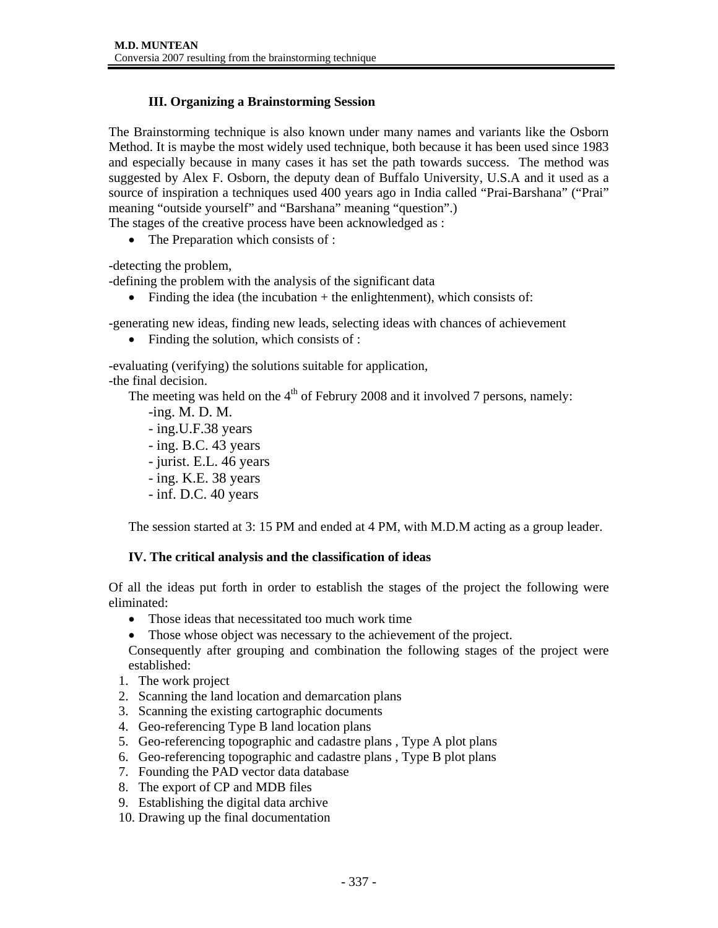### **III. Organizing a Brainstorming Session**

The Brainstorming technique is also known under many names and variants like the Osborn Method. It is maybe the most widely used technique, both because it has been used since 1983 and especially because in many cases it has set the path towards success. The method was suggested by Alex F. Osborn, the deputy dean of Buffalo University, U.S.A and it used as a source of inspiration a techniques used 400 years ago in India called "Prai-Barshana" ("Prai" meaning "outside yourself" and "Barshana" meaning "question".) The stages of the creative process have been acknowledged as :

• The Preparation which consists of :

-detecting the problem,

-defining the problem with the analysis of the significant data

• Finding the idea (the incubation  $+$  the enlightenment), which consists of:

-generating new ideas, finding new leads, selecting ideas with chances of achievement

• Finding the solution, which consists of :

-evaluating (verifying) the solutions suitable for application, -the final decision.

The meeting was held on the  $4<sup>th</sup>$  of Februry 2008 and it involved 7 persons, namely:

- -ing. M. D. M.
- ing.U.F.38 years
- ing. B.C. 43 years
- jurist. E.L. 46 years
- ing. K.E. 38 years
- inf. D.C. 40 years

The session started at 3: 15 PM and ended at 4 PM, with M.D.M acting as a group leader.

### **IV. The critical analysis and the classification of ideas**

Of all the ideas put forth in order to establish the stages of the project the following were eliminated:

- Those ideas that necessitated too much work time
- Those whose object was necessary to the achievement of the project.

Consequently after grouping and combination the following stages of the project were established:

- 1. The work project
- 2. Scanning the land location and demarcation plans
- 3. Scanning the existing cartographic documents
- 4. Geo-referencing Type B land location plans
- 5. Geo-referencing topographic and cadastre plans , Type A plot plans
- 6. Geo-referencing topographic and cadastre plans , Type B plot plans
- 7. Founding the PAD vector data database
- 8. The export of CP and MDB files
- 9. Establishing the digital data archive
- 10. Drawing up the final documentation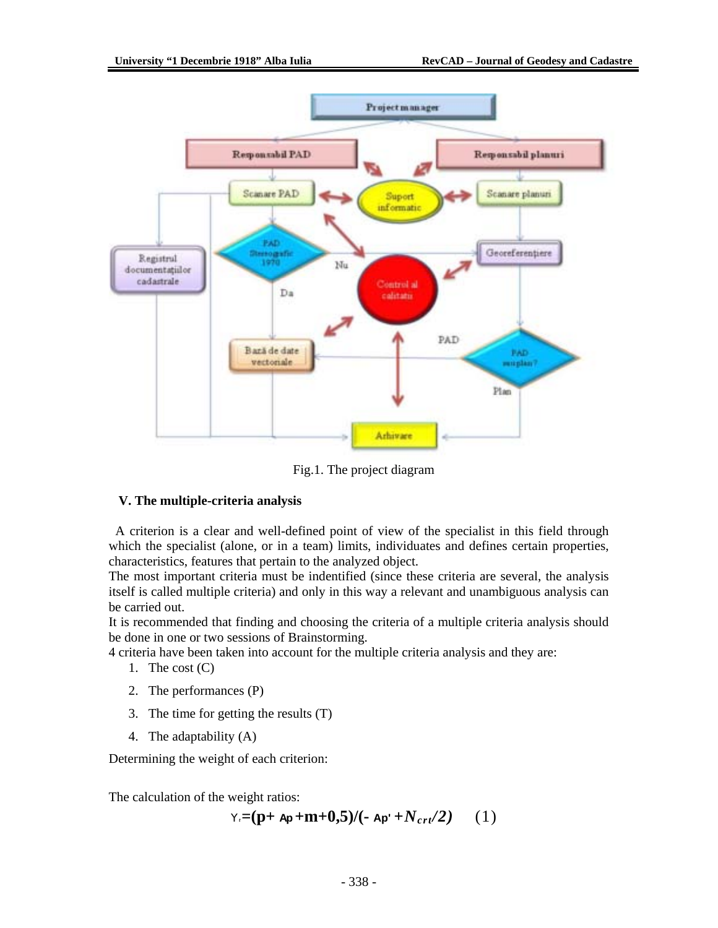

Fig.1. The project diagram

### **V. The multiple-criteria analysis**

 A criterion is a clear and well-defined point of view of the specialist in this field through which the specialist (alone, or in a team) limits, individuates and defines certain properties, characteristics, features that pertain to the analyzed object.

The most important criteria must be indentified (since these criteria are several, the analysis itself is called multiple criteria) and only in this way a relevant and unambiguous analysis can be carried out.

It is recommended that finding and choosing the criteria of a multiple criteria analysis should be done in one or two sessions of Brainstorming.

4 criteria have been taken into account for the multiple criteria analysis and they are:

- 1. The cost  $(C)$
- 2. The performances (P)
- 3. The time for getting the results (T)
- 4. The adaptability (A)

Determining the weight of each criterion:

The calculation of the weight ratios:

$$
Y = (p + Ap + m + 0, 5) / (-Ap + N_{crt}/2) \qquad (1)
$$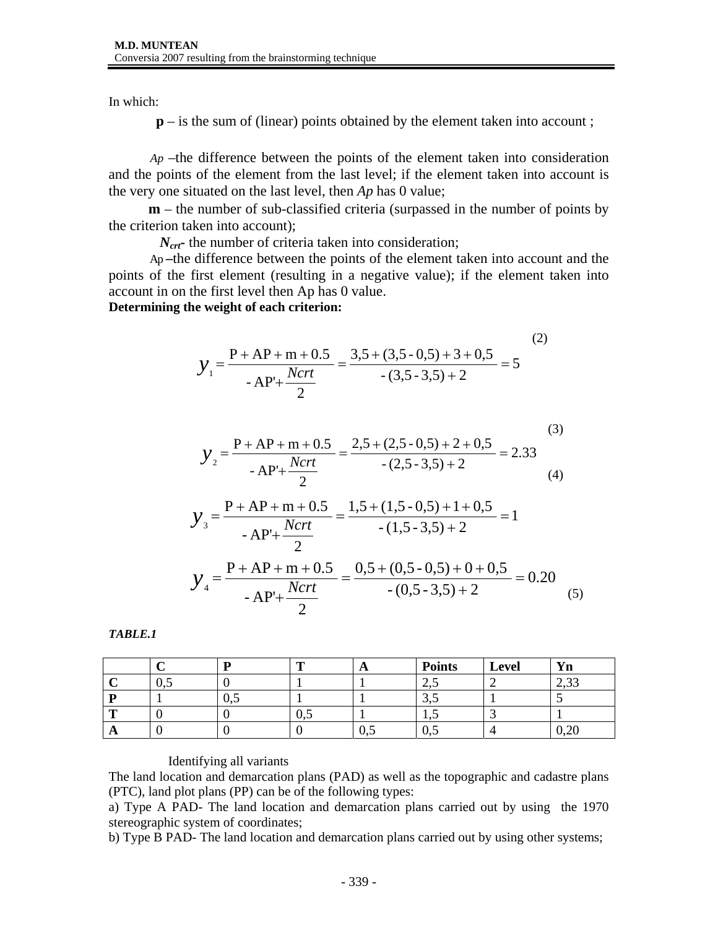In which:

**p** – is the sum of (linear) points obtained by the element taken into account;

*Ap* –the difference between the points of the element taken into consideration and the points of the element from the last level; if the element taken into account is the very one situated on the last level, then *Ap* has 0 value;

**m** – the number of sub-classified criteria (surpassed in the number of points by the criterion taken into account);

*N<sub>crt</sub>*- the number of criteria taken into consideration;

Ap **–**the difference between the points of the element taken into account and the points of the first element (resulting in a negative value); if the element taken into account in on the first level then Ap has 0 value.

**Determining the weight of each criterion:** 

$$
y_{1} = \frac{P + AP + m + 0.5}{-AP' + \frac{Ncrt}{2}} = \frac{3.5 + (3.5 - 0.5) + 3 + 0.5}{-(3.5 - 3.5) + 2} = 5
$$
 (2)

$$
y_2 = \frac{P + AP + m + 0.5}{-AP + \frac{Ncrt}{2}} = \frac{2.5 + (2.5 - 0.5) + 2 + 0.5}{-(2.5 - 3.5) + 2} = 2.33\tag{3}
$$

$$
y_3 = \frac{P + AP + m + 0.5}{-AP' + \frac{Ncrt}{2}} = \frac{1,5 + (1,5 - 0,5) + 1 + 0.5}{-(1,5 - 3,5) + 2} = 1
$$
  

$$
y_4 = \frac{P + AP + m + 0.5}{-AP' + \frac{Ncrt}{2}} = \frac{0,5 + (0,5 - 0,5) + 0 + 0.5}{-(0,5 - 3,5) + 2} = 0.20
$$
 (5)

*TABLE.1* 

|              |              |             | m           | A    | <b>Points</b> | <b>Level</b> | Yn            |
|--------------|--------------|-------------|-------------|------|---------------|--------------|---------------|
|              | $\upsilon$ . |             |             |      | ن کا ک        |              | ر ر.          |
| D            |              | $v_{\cdot}$ |             |      | ۰۰ می         |              |               |
| m            |              |             | $v_{\cdot}$ |      |               |              |               |
| $\mathbf{A}$ |              |             |             | U, J | $v_{\cdot}$   |              | $v, \angle v$ |

### Identifying all variants

The land location and demarcation plans (PAD) as well as the topographic and cadastre plans (PTC), land plot plans (PP) can be of the following types:

a) Type A PAD- The land location and demarcation plans carried out by using the 1970 stereographic system of coordinates;

b) Type B PAD- The land location and demarcation plans carried out by using other systems;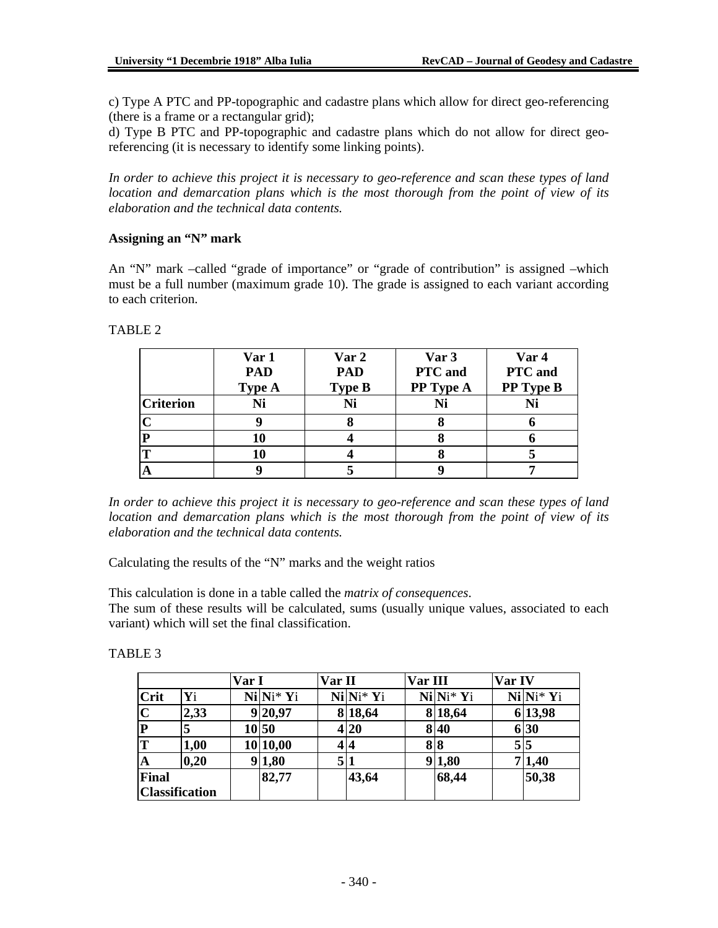c) Type A PTC and PP-topographic and cadastre plans which allow for direct geo-referencing (there is a frame or a rectangular grid);

d) Type B PTC and PP-topographic and cadastre plans which do not allow for direct georeferencing (it is necessary to identify some linking points).

*In order to achieve this project it is necessary to geo-reference and scan these types of land location and demarcation plans which is the most thorough from the point of view of its elaboration and the technical data contents.* 

#### **Assigning an "N" mark**

An "N" mark –called "grade of importance" or "grade of contribution" is assigned –which must be a full number (maximum grade 10). The grade is assigned to each variant according to each criterion.

#### TABLE 2

|                  | Var 1<br><b>PAD</b><br><b>Type A</b> | Var 2<br><b>PAD</b><br><b>Type B</b> | Var 3<br>PTC and<br>PP Type A | Var 4<br>PTC and<br>PP Type B |  |
|------------------|--------------------------------------|--------------------------------------|-------------------------------|-------------------------------|--|
| <b>Criterion</b> | Ni                                   | Ni                                   |                               | Ni                            |  |
|                  |                                      |                                      |                               |                               |  |
|                  | 10                                   |                                      |                               |                               |  |
|                  | 10                                   |                                      |                               |                               |  |
|                  |                                      |                                      |                               |                               |  |

*In order to achieve this project it is necessary to geo-reference and scan these types of land location and demarcation plans which is the most thorough from the point of view of its elaboration and the technical data contents.* 

Calculating the results of the "N" marks and the weight ratios

This calculation is done in a table called the *matrix of consequences*.

The sum of these results will be calculated, sums (usually unique values, associated to each variant) which will set the final classification.

| .BI |  |
|-----|--|
|-----|--|

|                       |      | Var I |            | Var II |            | Var III |            | Var IV |            |
|-----------------------|------|-------|------------|--------|------------|---------|------------|--------|------------|
| <b>Crit</b>           | Yi   |       | $Ni N* Yi$ |        | $Ni Ni*Yi$ |         | $Ni Ni*Yi$ |        | $Ni Ni*Yi$ |
| $ {\bf C} $           | 2,33 |       | 9 20,97    |        | 8 18,64    |         | 8 18,64    |        | 6 13,98    |
| $\mathbf{P}$          | 5    |       | 10 50      |        | 4 20       |         | 8 4 0      |        | 6 30       |
| T                     | 1,00 |       | 10 10,00   |        | 44         |         | 88         |        | $5\vert 5$ |
| A                     | 0,20 |       | 9 1,80     | 5 1    |            |         | 9 1,80     |        | 7 1,40     |
| <b>Final</b>          |      |       | 82,77      |        | 43,64      |         | 68,44      |        | 50,38      |
| <b>Classification</b> |      |       |            |        |            |         |            |        |            |